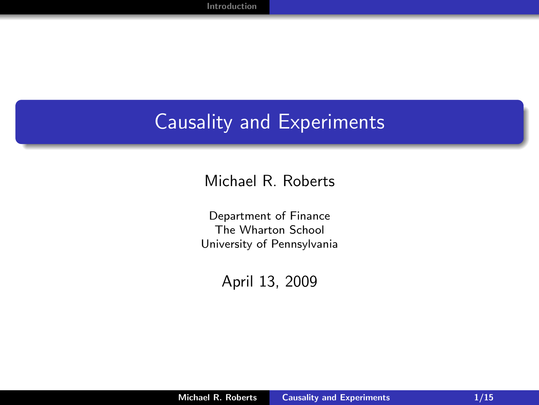## Causality and Experiments

#### Michael R. Roberts

Department of Finance The Wharton School University of Pennsylvania

<span id="page-0-0"></span>April 13, 2009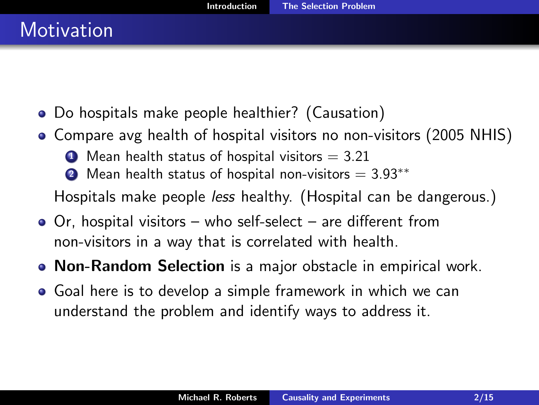- Do hospitals make people healthier? (Causation)
- Compare avg health of hospital visitors no non-visitors (2005 NHIS)
	- $\bullet$  Mean health status of hospital visitors = 3.21
	- 2 Mean health status of hospital non-visitors  $= 3.93$ <sup>\*\*</sup>

Hospitals make people less healthy. (Hospital can be dangerous.)

- Or, hospital visitors who self-select are different from non-visitors in a way that is correlated with health.
- Non-Random Selection is a major obstacle in empirical work.
- <span id="page-1-0"></span>Goal here is to develop a simple framework in which we can understand the problem and identify ways to address it.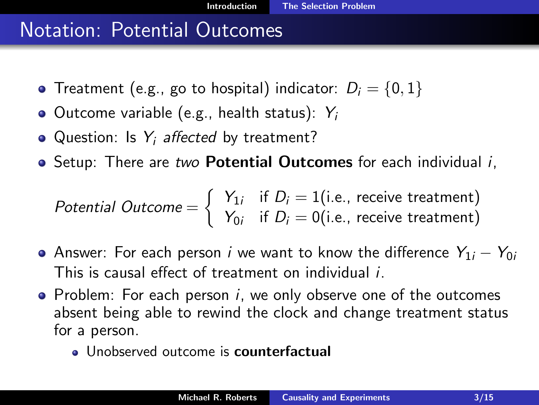### Notation: Potential Outcomes

- Treatment (e.g., go to hospital) indicator:  $D_i = \{0, 1\}$
- Outcome variable (e.g., health status):  $Y_i$
- Question: Is  $Y_i$  affected by treatment?
- Setup: There are two **Potential Outcomes** for each individual *i*,

Potential Outcome = 
$$
\left\{\n\begin{array}{ll}\nY_{1i} & \text{if } D_i = 1 \text{(i.e., receive treatment)} \\
Y_{0i} & \text{if } D_i = 0 \text{(i.e., receive treatment)}\n\end{array}\n\right.
$$

- Answer: For each person *i* we want to know the difference  $Y_{1i} Y_{0i}$ This is causal effect of treatment on individual i.
- Problem: For each person  $i$ , we only observe one of the outcomes absent being able to rewind the clock and change treatment status for a person.
	- Unobserved outcome is counterfactual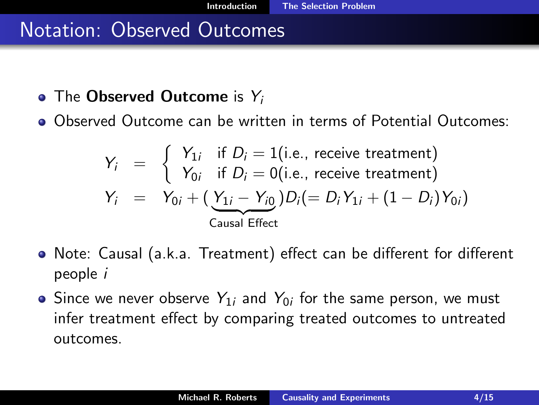#### Notation: Observed Outcomes

- The Observed Outcome is  $Y_i$
- Observed Outcome can be written in terms of Potential Outcomes:

$$
Y_i = \begin{cases} Y_{1i} & \text{if } D_i = 1 \text{(i.e., receive treatment)} \\ Y_{0i} & \text{if } D_i = 0 \text{(i.e., receive treatment)} \end{cases}
$$
\n
$$
Y_i = Y_{0i} + (\underbrace{Y_{1i} - Y_{i0}}_{\text{Causal Effect}}) D_i (= D_i Y_{1i} + (1 - D_i) Y_{0i})
$$

- Note: Causal (a.k.a. Treatment) effect can be different for different people i
- Since we never observe  $Y_{1i}$  and  $Y_{0i}$  for the same person, we must infer treatment effect by comparing treated outcomes to untreated outcomes.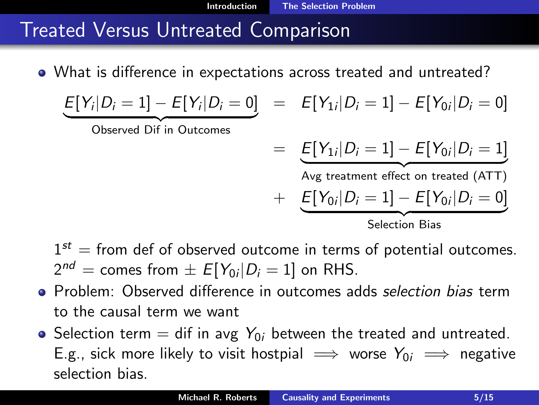# Treated Versus Untreated Comparison

What is difference in expectations across treated and untreated?

$$
\underbrace{E[Y_i|D_i=1]-E[Y_i|D_i=0]}_{\text{Observed Diff in Outcomes}} = \underbrace{E[Y_{1i}|D_i=1]-E[Y_{0i}|D_i=0]}_{\text{Avg treatment effect on treated (ATT)}} + \underbrace{E[Y_{0i}|D_i=1]-E[Y_{0i}|D_i=0]}_{\text{Selection Bias}}
$$

[Introduction](#page-1-0) [The Selection Problem](#page-1-0)

 $1^{st}$  = from def of observed outcome in terms of potential outcomes.  $2^{nd} =$  comes from  $\pm \; E[Y_{0i}|D_{i}=1]$  on RHS.

- Problem: Observed difference in outcomes adds selection bias term to the causal term we want
- Selection term = dif in avg  $Y_{0i}$  between the treated and untreated. E.g., sick more likely to visit hostpial  $\implies$  worse  $Y_{0i} \implies$  negative selection bias.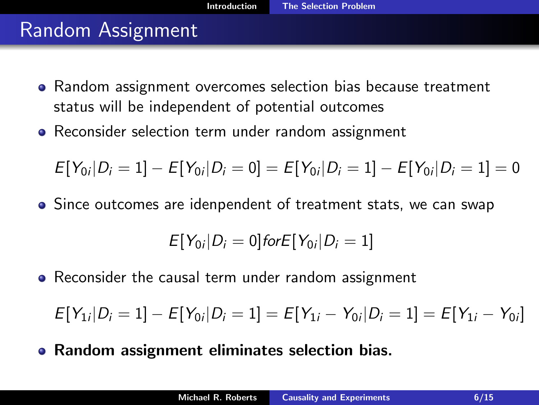### Random Assignment

- Random assignment overcomes selection bias because treatment status will be independent of potential outcomes
- Reconsider selection term under random assignment

$$
E[Y_{0i}|D_i=1]-E[Y_{0i}|D_i=0]=E[Y_{0i}|D_i=1]-E[Y_{0i}|D_i=1]=0
$$

• Since outcomes are idenpendent of treatment stats, we can swap

$$
E[Y_{0i}|D_i=0] \text{ for } E[Y_{0i}|D_i=1]
$$

• Reconsider the causal term under random assignment

 $E[Y_{1i}|D_i=1]-E[Y_{0i}|D_i=1]=E[Y_{1i}-Y_{0i}|D_i=1]=E[Y_{1i}-Y_{0i}]$ 

Random assignment eliminates selection bias.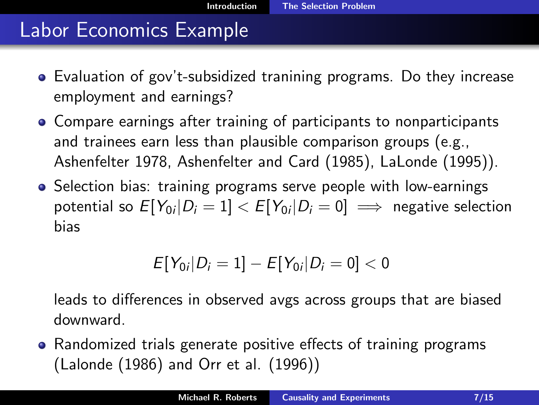#### Labor Economics Example

- Evaluation of gov't-subsidized tranining programs. Do they increase employment and earnings?
- Compare earnings after training of participants to nonparticipants and trainees earn less than plausible comparison groups (e.g., Ashenfelter 1978, Ashenfelter and Card (1985), LaLonde (1995)).
- Selection bias: training programs serve people with low-earnings potential so  $\mathit{E}[Y_{0i}|D_{i}=1] < \mathit{E}[Y_{0i}|D_{i}=0] \implies$  negative selection bias

$$
E[Y_{0i}|D_i = 1] - E[Y_{0i}|D_i = 0] < 0
$$

leads to differences in observed avgs across groups that are biased downward.

• Randomized trials generate positive effects of training programs (Lalonde (1986) and Orr et al. (1996))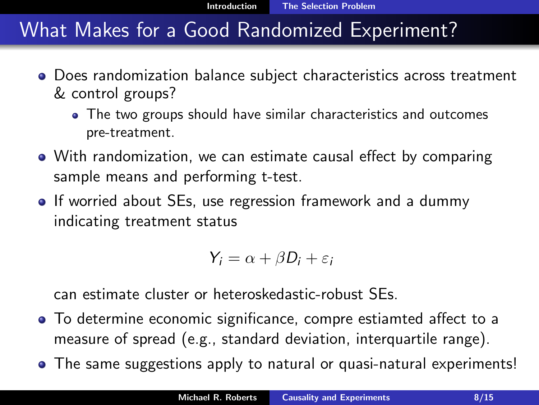### What Makes for a Good Randomized Experiment?

- Does randomization balance subject characteristics across treatment & control groups?
	- The two groups should have similar characteristics and outcomes pre-treatment.
- With randomization, we can estimate causal effect by comparing sample means and performing t-test.
- If worried about SEs, use regression framework and a dummy indicating treatment status

$$
Y_i = \alpha + \beta D_i + \varepsilon_i
$$

can estimate cluster or heteroskedastic-robust SEs.

- To determine economic significance, compre estiamted affect to a measure of spread (e.g., standard deviation, interquartile range).
- The same suggestions apply to natural or quasi-natural experiments!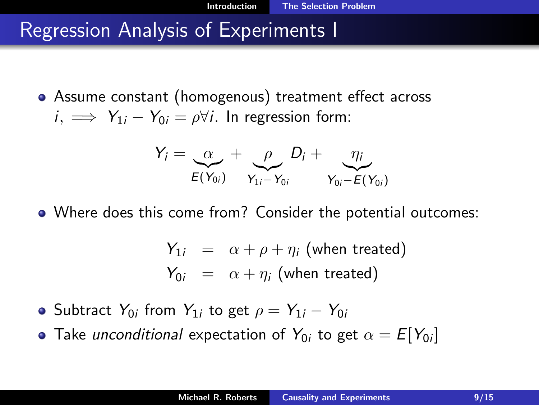Assume constant (homogenous) treatment effect across  $i, \implies Y_{1i} - Y_{0i} = \rho \forall i$ . In regression form:

$$
Y_i = \underbrace{\alpha}_{E(Y_{0i})} + \underbrace{\rho}_{Y_{1i} - Y_{0i}} D_i + \underbrace{\eta_i}_{Y_{0i} - E(Y_{0i})}
$$

Where does this come from? Consider the potential outcomes:

$$
Y_{1i} = \alpha + \rho + \eta_i \text{ (when treated)}
$$
  

$$
Y_{0i} = \alpha + \eta_i \text{ (when treated)}
$$

- Subtract  $Y_{0i}$  from  $Y_{1i}$  to get  $\rho=Y_{1i}-Y_{0i}$
- Take *unconditional* expectation of  $Y_{0i}$  to get  $\alpha = \mathcal{E}[Y_{0i}]$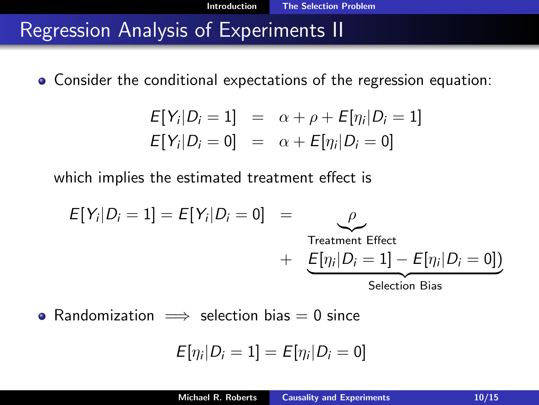Consider the conditional expectations of the regression equation:

$$
E[Y_i|D_i = 1] = \alpha + \rho + E[\eta_i|D_i = 1]
$$
  

$$
E[Y_i|D_i = 0] = \alpha + E[\eta_i|D_i = 0]
$$

which implies the estimated treatment effect is

$$
E[Y_i|D_i = 1] = E[Y_i|D_i = 0] = \rho
$$
  
Treatment Effect  
+ 
$$
\underbrace{E[\eta_i|D_i = 1] - E[\eta_i|D_i = 0])}_{\text{Selection Bias}}
$$

• Randomization  $\implies$  selection bias = 0 since

$$
E[\eta_i|D_i=1]=E[\eta_i|D_i=0]
$$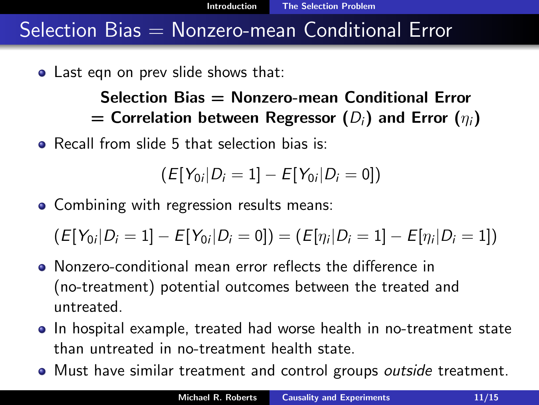## $S^{election}$  Bias  $=$  Nonzero-mean Conditional Error

• Last eqn on prev slide shows that:

#### Selection Bias = Nonzero-mean Conditional Error = Correlation between Regressor  $(D_i)$  and Error  $(\eta_i)$

**• Recall from slide 5 that selection bias is:** 

$$
(E[Y_{0i}|D_i=1]-E[Y_{0i}|D_i=0])
$$

• Combining with regression results means:

 $\mathcal{L}\left( E[Y_{0i}|D_{i}=1]-E[Y_{0i}|D_{i}=0]\right) =\left( E[\eta_{i}|D_{i}=1]-E[\eta_{i}|D_{i}=1]\right)$ 

- Nonzero-conditional mean error reflects the difference in (no-treatment) potential outcomes between the treated and untreated.
- In hospital example, treated had worse health in no-treatment state than untreated in no-treatment health state.
- Must have similar treatment and control groups outside treatment.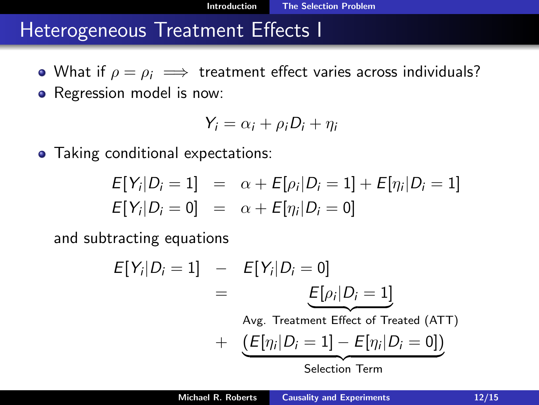#### Heterogeneous Treatment Effects I

- What if  $\rho = \rho_i \implies$  treatment effect varies across individuals?
- Regression model is now:

$$
Y_i = \alpha_i + \rho_i D_i + \eta_i
$$

• Taking conditional expectations:

$$
E[Y_i|D_i = 1] = \alpha + E[\rho_i|D_i = 1] + E[\eta_i|D_i = 1]
$$
  

$$
E[Y_i|D_i = 0] = \alpha + E[\eta_i|D_i = 0]
$$

and subtracting equations

$$
E[Y_i|D_i = 1] - E[Y_i|D_i = 0]
$$
  
= 
$$
E[\rho_i|D_i = 1]
$$
  
Avg. Treatment Effect of Treated (ATT)  
+ 
$$
\underbrace{(E[\eta_i|D_i = 1] - E[\eta_i|D_i = 0])}_{Selection Term}
$$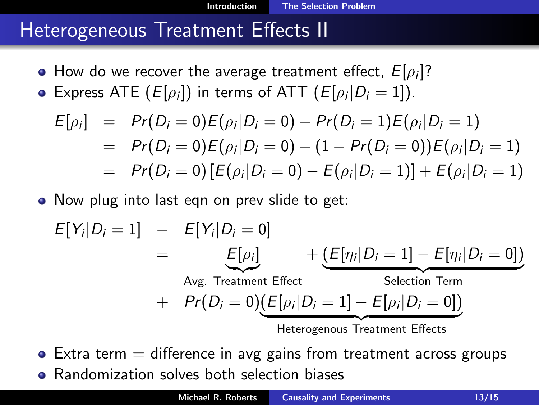[Introduction](#page-1-0) [The Selection Problem](#page-1-0)

#### Heterogeneous Treatment Effects II

- How do we recover the average treatment effect,  $E[\rho_i]$ ?
- Express ATE  $(E[\rho_i])$  in terms of ATT  $(E[\rho_i|D_i=1]).$

$$
E[\rho_i] = Pr(D_i = 0)E(\rho_i|D_i = 0) + Pr(D_i = 1)E(\rho_i|D_i = 1)
$$
  
= Pr(D<sub>i</sub> = 0)E(\rho<sub>i</sub>|D<sub>i</sub> = 0) + (1 - Pr(D<sub>i</sub> = 0))E(\rho<sub>i</sub>|D<sub>i</sub> = 1)  
= Pr(D<sub>i</sub> = 0) [E(\rho<sub>i</sub>|D<sub>i</sub> = 0) - E(\rho<sub>i</sub>|D<sub>i</sub> = 1)] + E(\rho<sub>i</sub>|D<sub>i</sub> = 1)

• Now plug into last eqn on prev slide to get:

$$
E[Y_i|D_i = 1] - E[Y_i|D_i = 0]
$$
  
= 
$$
E[\rho_i] + \underbrace{(E[\eta_i|D_i = 1] - E[\eta_i|D_i = 0])}_{\text{Selection Term}}
$$
  
+ 
$$
Pr(D_i = 0)\underbrace{(E[\rho_i|D_i = 1] - E[\rho_i|D_i = 0])}_{\text{Heterogenous Treatment Effects}}
$$

 $\bullet$  Extra term  $=$  difference in avg gains from treatment across groups

Randomization solves both selection biases  $\bullet$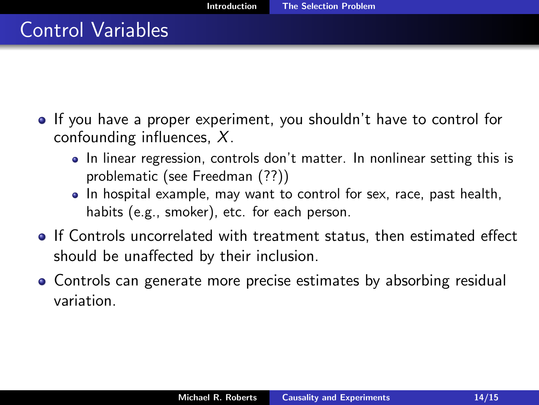- If you have a proper experiment, you shouldn't have to control for confounding influences, X.
	- In linear regression, controls don't matter. In nonlinear setting this is problematic (see Freedman (??))
	- In hospital example, may want to control for sex, race, past health, habits (e.g., smoker), etc. for each person.
- If Controls uncorrelated with treatment status, then estimated effect should be unaffected by their inclusion.
- Controls can generate more precise estimates by absorbing residual variation.